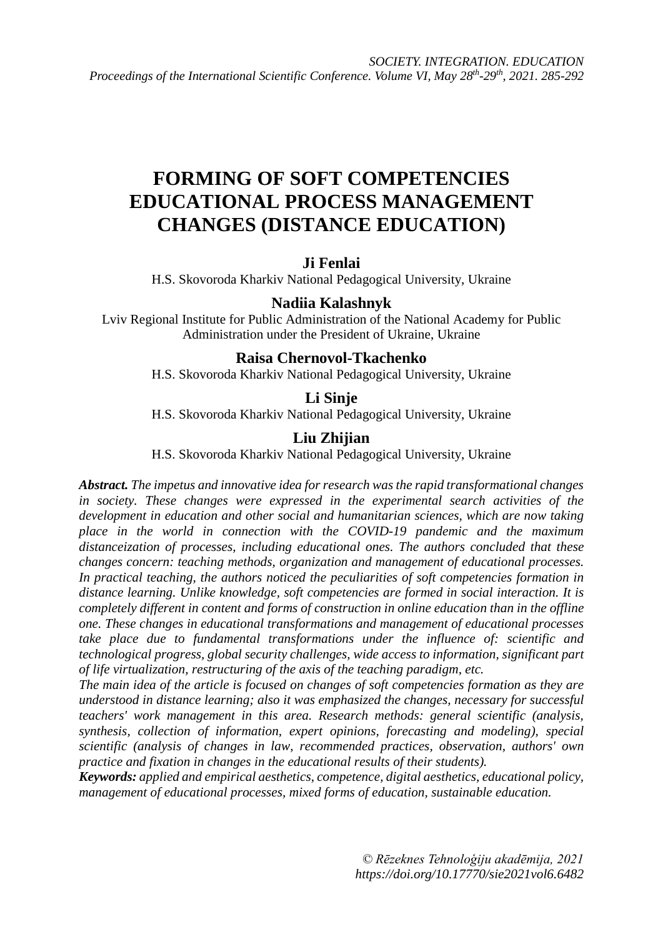# **FORMING OF SOFT COMPETENCIES EDUCATIONAL PROCESS MANAGEMENT CHANGES (DISTANCE EDUCATION)**

## **Ji Fenlai**

H.S. Skovoroda Kharkiv National Pedagogical University, Ukraine

## **Nadiia Kalashnyk**

Lviv Regional Institute for Public Administration of the National Academy for Public Administration under the President of Ukraine, Ukraine

#### **Raisa Chernovol-Tkachenko**

H.S. Skovoroda Kharkiv National Pedagogical University, Ukraine

#### **Li Sinje**

H.S. Skovoroda Kharkiv National Pedagogical University, Ukraine

#### **Liu Zhijian**

H.S. Skovoroda Kharkiv National Pedagogical University, Ukraine

*Abstract. The impetus and innovative idea for research was the rapid transformational changes in society. These changes were expressed in the experimental search activities of the development in education and other social and humanitarian sciences, which are now taking place in the world in connection with the COVID-19 pandemic and the maximum distanceization of processes, including educational ones. The authors concluded that these changes concern: teaching methods, organization and management of educational processes. In practical teaching, the authors noticed the peculiarities of soft competencies formation in distance learning. Unlike knowledge, soft competencies are formed in social interaction. It is completely different in content and forms of construction in online education than in the offline one. These changes in educational transformations and management of educational processes take place due to fundamental transformations under the influence of: scientific and technological progress, global security challenges, wide access to information, significant part of life virtualization, restructuring of the axis of the teaching paradigm, etc.*

*The main idea of the article is focused on changes of soft competencies formation as they are understood in distance learning; also it was emphasized the changes, necessary for successful teachers' work management in this area. Research methods: general scientific (analysis, synthesis, collection of information, expert opinions, forecasting and modeling), special scientific (analysis of changes in law, recommended practices, observation, authors' own practice and fixation in changes in the educational results of their students).*

*Keywords: applied and empirical aesthetics, competence, digital aesthetics, educational policy, management of educational processes, mixed forms of education, sustainable education.*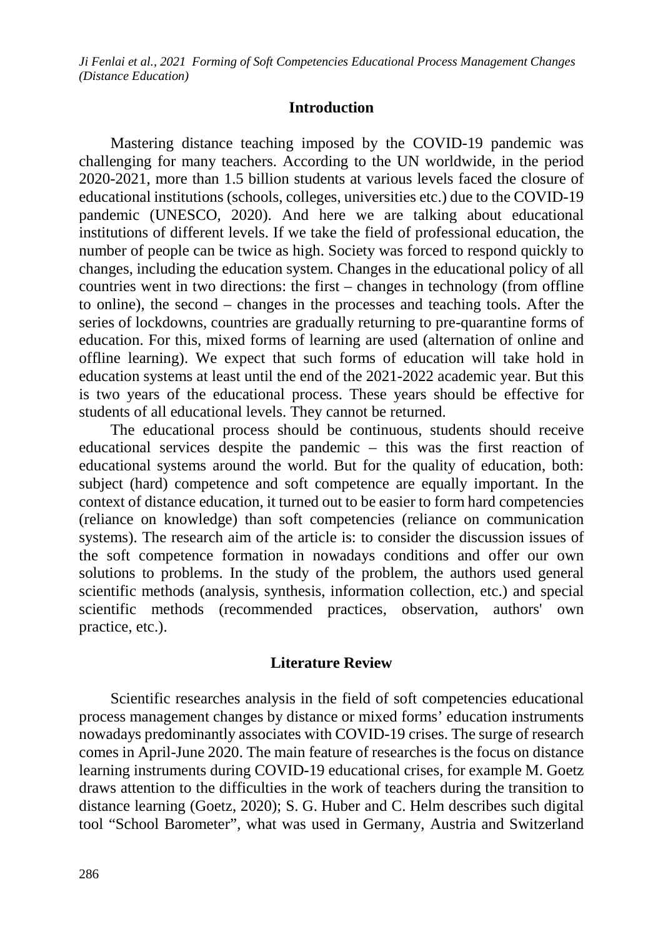#### **Introduction**

Mastering distance teaching imposed by the COVID-19 pandemic was challenging for many teachers. According to the UN worldwide, in the period 2020-2021, more than 1.5 billion students at various levels faced the closure of educational institutions (schools, colleges, universities etc.) due to the COVID-19 pandemic (UNESCO, 2020). And here we are talking about educational institutions of different levels. If we take the field of professional education, the number of people can be twice as high. Society was forced to respond quickly to changes, including the education system. Changes in the educational policy of all countries went in two directions: the first – changes in technology (from offline to online), the second – changes in the processes and teaching tools. After the series of lockdowns, countries are gradually returning to pre-quarantine forms of education. For this, mixed forms of learning are used (alternation of online and offline learning). We expect that such forms of education will take hold in education systems at least until the end of the 2021-2022 academic year. But this is two years of the educational process. These years should be effective for students of all educational levels. They cannot be returned.

The educational process should be continuous, students should receive educational services despite the pandemic – this was the first reaction of educational systems around the world. But for the quality of education, both: subject (hard) competence and soft competence are equally important. In the context of distance education, it turned out to be easier to form hard competencies (reliance on knowledge) than soft competencies (reliance on communication systems). The research aim of the article is: to consider the discussion issues of the soft competence formation in nowadays conditions and offer our own solutions to problems. In the study of the problem, the authors used general scientific methods (analysis, synthesis, information collection, etc.) and special scientific methods (recommended practices, observation, authors' own practice, etc.).

#### **Literature Review**

Scientific researches analysis in the field of soft competencies educational process management changes by distance or mixed forms' education instruments nowadays predominantly associates with COVID-19 crises. The surge of research comes in April-June 2020. The main feature of researches is the focus on distance learning instruments during COVID-19 educational crises, for example M. Goetz draws attention to the difficulties in the work of teachers during the transition to distance learning (Goetz, 2020); S. G. Huber and C. Helm describes such digital tool "School Barometer", what was used in Germany, Austria and Switzerland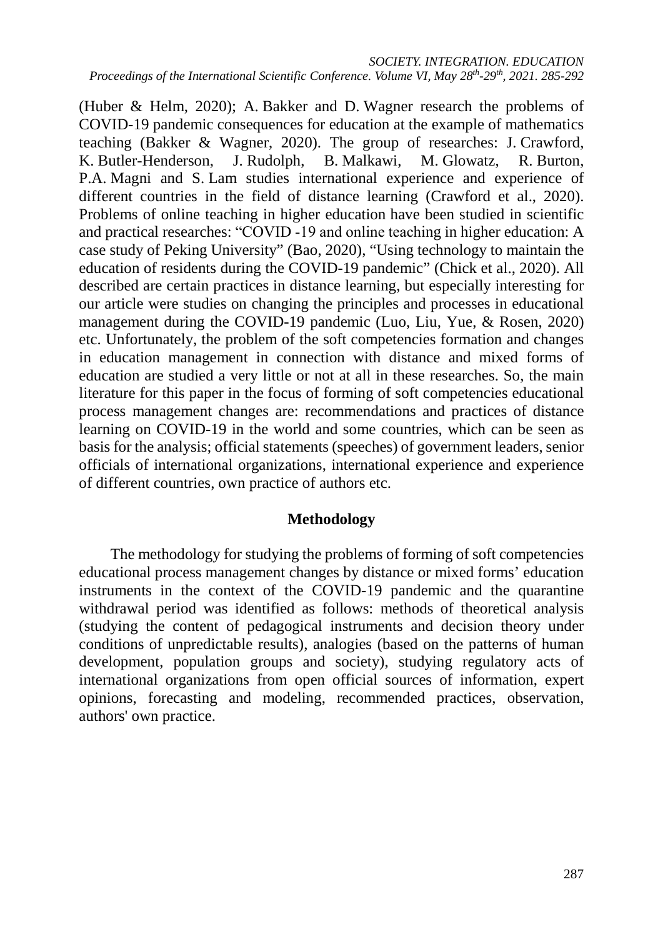(Huber & Helm, 2020); A. Bakker and D. Wagner research the problems of COVID-19 pandemic consequences for education at the example of mathematics teaching (Bakker & Wagner, 2020). The group of researches: J. Crawford, K. Butler-Henderson, J. Rudolph, B. Malkawi, M. Glowatz, R. Burton, P.A. Magni and S. Lam studies international experience and experience of different countries in the field of distance learning (Crawford et al., 2020). Problems of online teaching in higher education have been studied in scientific and practical researches: "COVID ‐19 and online teaching in higher education: A case study of Peking University" (Bao, 2020), "Using technology to maintain the education of residents during the COVID-19 pandemic" (Chick et al., 2020). All described are certain practices in distance learning, but especially interesting for our article were studies on changing the principles and processes in educational management during the COVID-19 pandemic (Luo, Liu, Yue, & Rosen, 2020) etc. Unfortunately, the problem of the soft competencies formation and changes in education management in connection with distance and mixed forms of education are studied a very little or not at all in these researches. So, the main literature for this paper in the focus of forming of soft competencies educational process management changes are: recommendations and practices of distance learning on COVID-19 in the world and some countries, which can be seen as basis for the analysis; official statements (speeches) of government leaders, senior officials of international organizations, international experience and experience of different countries, own practice of authors etc.

# **Methodology**

The methodology for studying the problems of forming of soft competencies educational process management changes by distance or mixed forms' education instruments in the context of the COVID-19 pandemic and the quarantine withdrawal period was identified as follows: methods of theoretical analysis (studying the content of pedagogical instruments and decision theory under conditions of unpredictable results), analogies (based on the patterns of human development, population groups and society), studying regulatory acts of international organizations from open official sources of information, expert opinions, forecasting and modeling, recommended practices, observation, authors' own practice.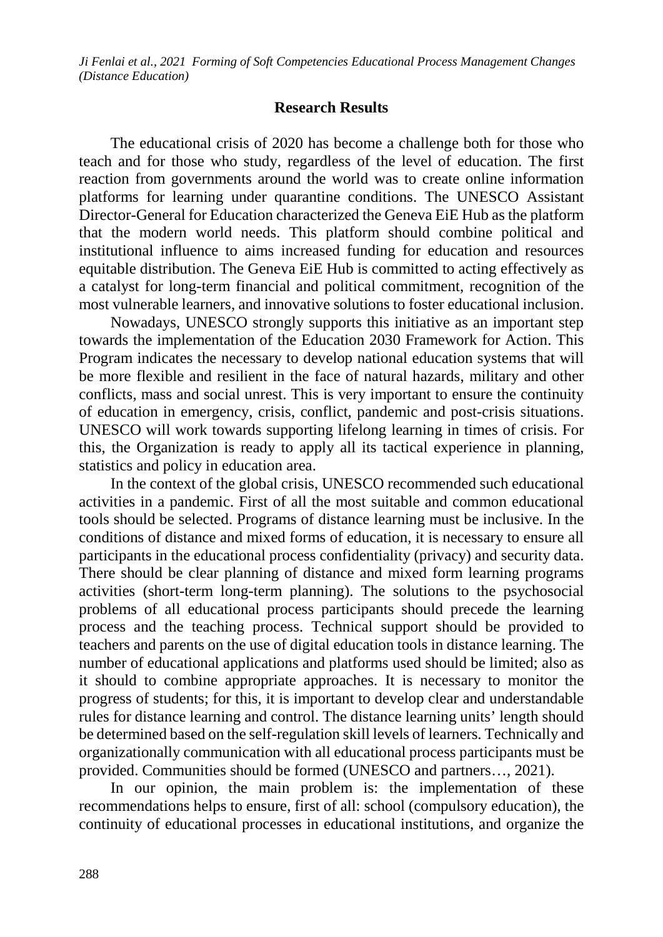#### **Research Results**

The educational crisis of 2020 has become a challenge both for those who teach and for those who study, regardless of the level of education. The first reaction from governments around the world was to create online information platforms for learning under quarantine conditions. The UNESCO Assistant Director-General for Education characterized the Geneva EiE Hub as the platform that the modern world needs. This platform should combine political and institutional influence to aims increased funding for education and resources equitable distribution. The Geneva EiE Hub is committed to acting effectively as a catalyst for long-term financial and political commitment, recognition of the most vulnerable learners, and innovative solutions to foster educational inclusion.

Nowadays, UNESCO strongly supports this initiative as an important step towards the implementation of the Education 2030 Framework for Action. This Program indicates the necessary to develop national education systems that will be more flexible and resilient in the face of natural hazards, military and other conflicts, mass and social unrest. This is very important to ensure the continuity of education in emergency, crisis, conflict, pandemic and post-crisis situations. UNESCO will work towards supporting lifelong learning in times of crisis. For this, the Organization is ready to apply all its tactical experience in planning, statistics and policy in education area.

In the context of the global crisis, UNESCO recommended such educational activities in a pandemic. First of all the most suitable and common educational tools should be selected. Programs of distance learning must be inclusive. In the conditions of distance and mixed forms of education, it is necessary to ensure all participants in the educational process confidentiality (privacy) and security data. There should be clear planning of distance and mixed form learning programs activities (short-term long-term planning). The solutions to the psychosocial problems of all educational process participants should precede the learning process and the teaching process. Technical support should be provided to teachers and parents on the use of digital education tools in distance learning. The number of educational applications and platforms used should be limited; also as it should to combine appropriate approaches. It is necessary to monitor the progress of students; for this, it is important to develop clear and understandable rules for distance learning and control. The distance learning units' length should be determined based on the self-regulation skill levels of learners. Technically and organizationally communication with all educational process participants must be provided. Communities should be formed (UNESCO and partners…, 2021).

In our opinion, the main problem is: the implementation of these recommendations helps to ensure, first of all: school (compulsory education), the continuity of educational processes in educational institutions, and organize the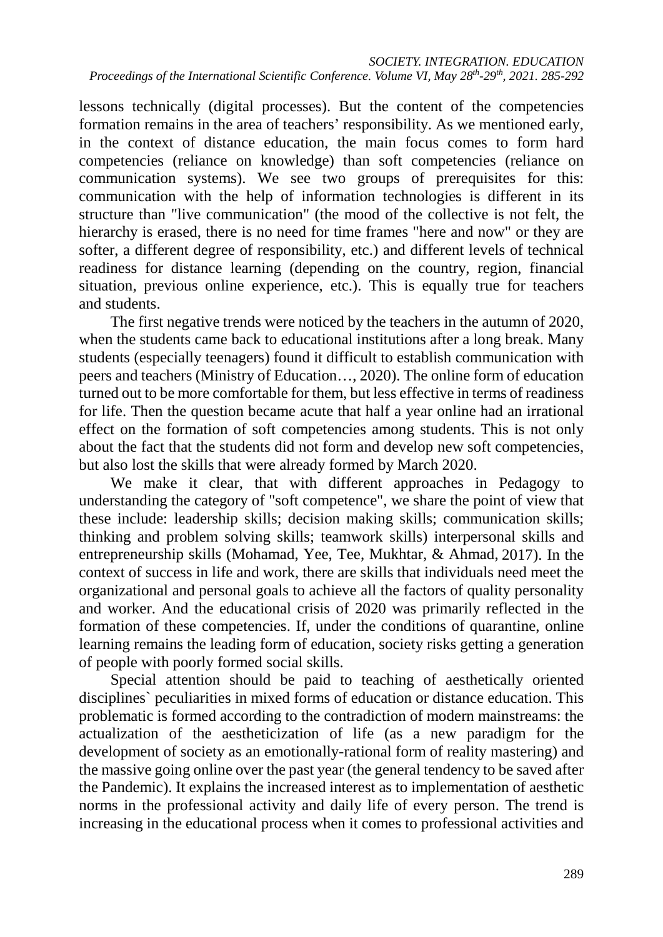lessons technically (digital processes). But the content of the competencies formation remains in the area of teachers' responsibility. As we mentioned early, in the context of distance education, the main focus comes to form hard competencies (reliance on knowledge) than soft competencies (reliance on communication systems). We see two groups of prerequisites for this: communication with the help of information technologies is different in its structure than "live communication" (the mood of the collective is not felt, the hierarchy is erased, there is no need for time frames "here and now" or they are softer, a different degree of responsibility, etc.) and different levels of technical readiness for distance learning (depending on the country, region, financial situation, previous online experience, etc.). This is equally true for teachers and students.

The first negative trends were noticed by the teachers in the autumn of 2020, when the students came back to educational institutions after a long break. Many students (especially teenagers) found it difficult to establish communication with peers and teachers (Ministry of Education…, 2020). The online form of education turned out to be more comfortable for them, but less effective in terms of readiness for life. Then the question became acute that half a year online had an irrational effect on the formation of soft competencies among students. This is not only about the fact that the students did not form and develop new soft competencies, but also lost the skills that were already formed by March 2020.

We make it clear, that with different approaches in Pedagogy to understanding the category of "soft competence", we share the point of view that these include: leadership skills; decision making skills; communication skills; thinking and problem solving skills; teamwork skills) interpersonal skills and entrepreneurship skills (Mohamad, Yee, Tee, Mukhtar, & Ahmad, 2017). In the context of success in life and work, there are skills that individuals need meet the organizational and personal goals to achieve all the factors of quality personality and worker. And the educational crisis of 2020 was primarily reflected in the formation of these competencies. If, under the conditions of quarantine, online learning remains the leading form of education, society risks getting a generation of people with poorly formed social skills.

Special attention should be paid to teaching of aesthetically oriented disciplines` peculiarities in mixed forms of education or distance education. This problematic is formed according to the contradiction of modern mainstreams: the actualization of the aestheticization of life (as a new paradigm for the development of society as an emotionally-rational form of reality mastering) and the massive going online over the past year (the general tendency to be saved after the Pandemic). It explains the increased interest as to implementation of aesthetic norms in the professional activity and daily life of every person. The trend is increasing in the educational process when it comes to professional activities and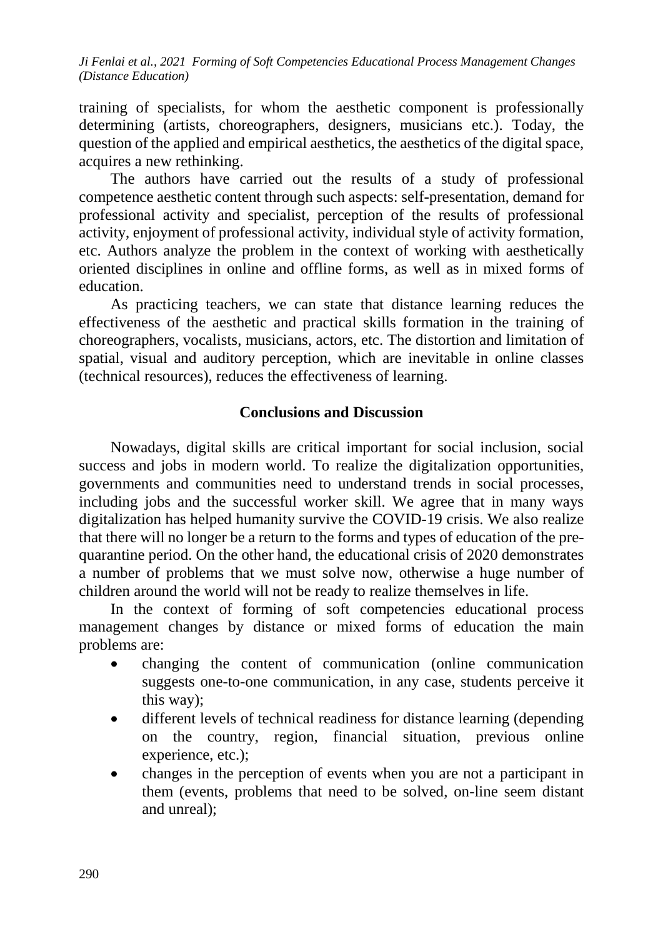training of specialists, for whom the aesthetic component is professionally determining (artists, choreographers, designers, musicians etc.). Today, the question of the applied and empirical aesthetics, the aesthetics of the digital space, acquires a new rethinking.

The authors have carried out the results of a study of professional competence aesthetic content through such aspects: self-presentation, demand for professional activity and specialist, perception of the results of professional activity, enjoyment of professional activity, individual style of activity formation, etc. Authors analyze the problem in the context of working with aesthetically oriented disciplines in online and offline forms, as well as in mixed forms of education.

As practicing teachers, we can state that distance learning reduces the effectiveness of the aesthetic and practical skills formation in the training of choreographers, vocalists, musicians, actors, etc. The distortion and limitation of spatial, visual and auditory perception, which are inevitable in online classes (technical resources), reduces the effectiveness of learning.

## **Conclusions and Discussion**

Nowadays, digital skills are critical important for social inclusion, social success and jobs in modern world. To realize the digitalization opportunities, governments and communities need to understand trends in social processes, including jobs and the successful worker skill. We agree that in many ways digitalization has helped humanity survive the COVID-19 crisis. We also realize that there will no longer be a return to the forms and types of education of the prequarantine period. On the other hand, the educational crisis of 2020 demonstrates a number of problems that we must solve now, otherwise a huge number of children around the world will not be ready to realize themselves in life.

In the context of forming of soft competencies educational process management changes by distance or mixed forms of education the main problems are:

- changing the content of communication (online communication suggests one-to-one communication, in any case, students perceive it this way);
- different levels of technical readiness for distance learning (depending on the country, region, financial situation, previous online experience, etc.);
- changes in the perception of events when you are not a participant in them (events, problems that need to be solved, on-line seem distant and unreal);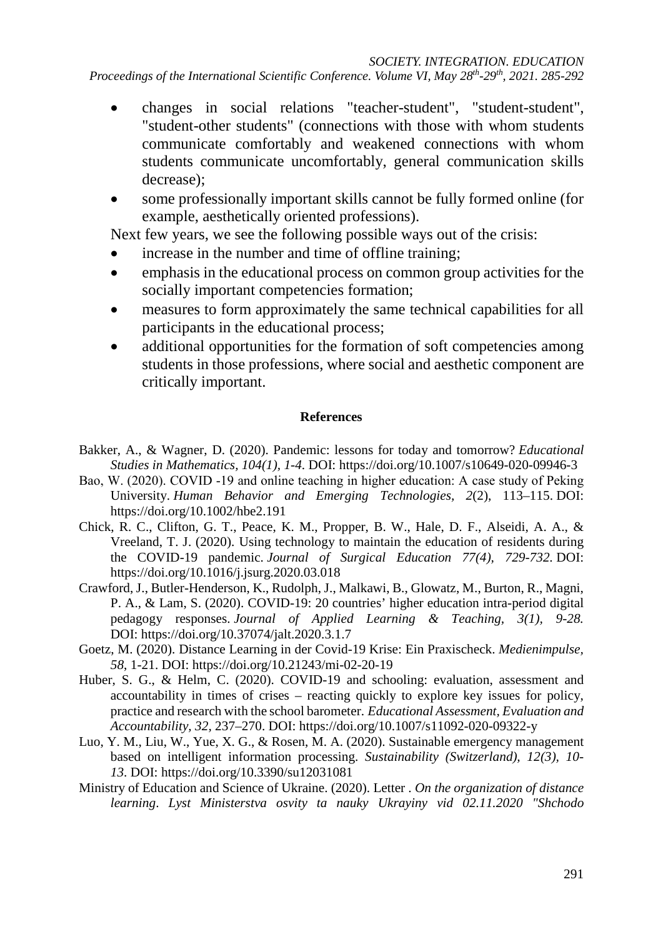- changes in social relations "teacher-student", "student-student", "student-other students" (connections with those with whom students communicate comfortably and weakened connections with whom students communicate uncomfortably, general communication skills decrease);
- some professionally important skills cannot be fully formed online (for example, aesthetically oriented professions).

Next few years, we see the following possible ways out of the crisis:

- increase in the number and time of offline training;
- emphasis in the educational process on common group activities for the socially important competencies formation;
- measures to form approximately the same technical capabilities for all participants in the educational process;
- additional opportunities for the formation of soft competencies among students in those professions, where social and aesthetic component are critically important.

#### **References**

- Bakker, A., & Wagner, D. (2020). Pandemic: lessons for today and tomorrow? *Educational Studies in Mathematics, 104(1), 1-4*. DOI: <https://doi.org/10.1007/s10649-020-09946-3>
- Bao, W. (2020). COVID ‐19 and online teaching in higher education: A case study of Peking University. *Human Behavior and Emerging Technologies, 2*(2), 113–115. DOI: <https://doi.org/10.1002/hbe2.191>
- Chick, R. C., Clifton, G. T., Peace, K. M., Propper, B. W., Hale, D. F., Alseidi, A. A., & Vreeland, T. J. (2020). Using technology to maintain the education of residents during the COVID-19 pandemic. *Journal of Surgical Education 77(4), 729-732.* DOI: <https://doi.org/10.1016/j.jsurg.2020.03.018>
- Crawford, J., Butler-Henderson, K., Rudolph, J., Malkawi, B., Glowatz, M., Burton, R., Magni, P. A., & Lam, S. (2020). COVID-19: 20 countries' higher education intra-period digital pedagogy responses. *Journal of Applied Learning & Teaching, 3(1), 9-28.* DOI: <https://doi.org/10.37074/jalt.2020.3.1.7>
- Goetz, M. (2020). Distance Learning in der Covid-19 Krise: Ein Praxischeck. *Medienimpulse, 58*, 1-21. DOI: https://doi.org/10.21243/mi-02-20-19
- Huber, S. G., & Helm, C. (2020). COVID-19 and schooling: evaluation, assessment and accountability in times of crises – reacting quickly to explore key issues for policy, practice and research with the school barometer. *Educational Assessment, Evaluation and Accountability, 32,* 237–270. DOI: <https://doi.org/10.1007/s11092-020-09322-y>
- Luo, Y. M., Liu, W., Yue, X. G., & Rosen, M. A. (2020). Sustainable emergency management based on intelligent information processing. *Sustainability (Switzerland), 12(3), 10- 13*. DOI: <https://doi.org/10.3390/su12031081>
- Ministry of Education and Science of Ukraine. (2020). Letter . *On the organization of distance learning*. *Lyst Ministerstva osvity ta nauky Ukrayiny vid 02.11.2020 "Shchodo*